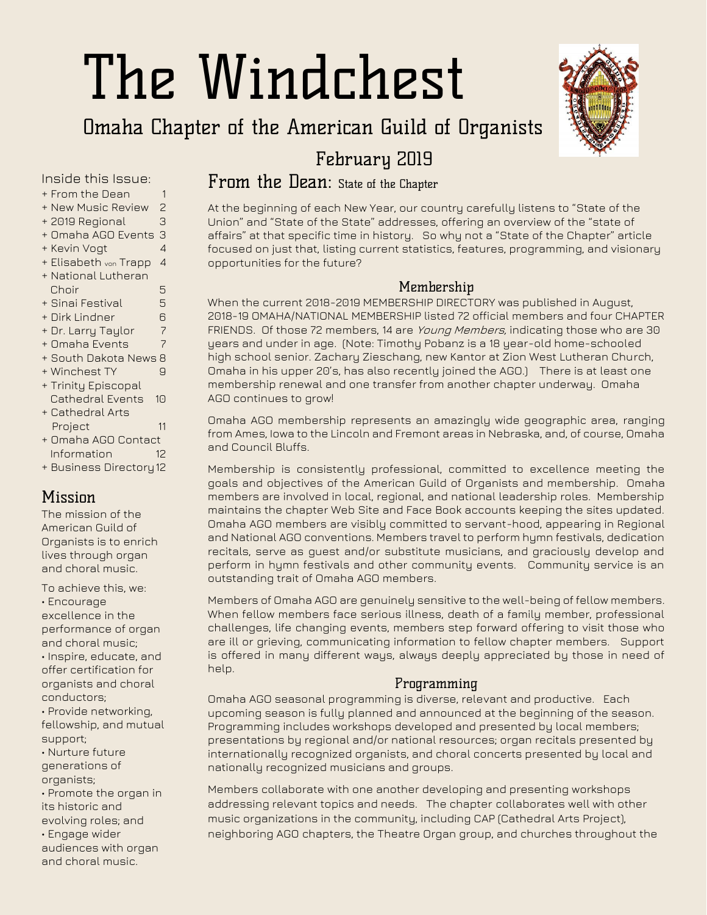# The Windchest

# Omaha Chapter of the American Guild of Organists



## February 2019

## From the Dean: State of the Chapter

At the beginning of each New Year, our country carefully listens to "State of the Union" and "State of the State" addresses, offering an overview of the "state of affairs" at that specific time in history. So why not a "State of the Chapter" article focused on just that, listing current statistics, features, programming, and visionary opportunities for the future?

#### Membership

When the current 2018-2019 MEMBERSHIP DIRECTORY was published in August, 2018-19 OMAHA/NATIONAL MEMBERSHIP listed 72 official members and four CHAPTER FRIENDS. Of those 72 members, 14 are *Young Members*, indicating those who are 30 years and under in age. (Note: Timothy Pobanz is a 18 year-old home-schooled high school senior. Zachary Zieschang, new Kantor at Zion West Lutheran Church, Omaha in his upper 20's, has also recently joined the AGO.) There is at least one membership renewal and one transfer from another chapter underway. Omaha AGO continues to grow!

Omaha AGO membership represents an amazingly wide geographic area, ranging from Ames, Iowa to the Lincoln and Fremont areas in Nebraska, and, of course, Omaha and Council Bluffs.

Membership is consistently professional, committed to excellence meeting the goals and objectives of the American Guild of Organists and membership. Omaha members are involved in local, regional, and national leadership roles. Membership maintains the chapter Web Site and Face Book accounts keeping the sites updated. Omaha AGO members are visibly committed to servant-hood, appearing in Regional and National AGO conventions. Members travel to perform hymn festivals, dedication recitals, serve as guest and/or substitute musicians, and graciously develop and perform in hymn festivals and other community events. Community service is an outstanding trait of Omaha AGO members.

Members of Omaha AGO are genuinely sensitive to the well-being of fellow members. When fellow members face serious illness, death of a family member, professional challenges, life changing events, members step forward offering to visit those who are ill or grieving, communicating information to fellow chapter members. Support is offered in many different ways, always deeply appreciated by those in need of help.

#### Programming

Omaha AGO seasonal programming is diverse, relevant and productive. Each upcoming season is fully planned and announced at the beginning of the season. Programming includes workshops developed and presented by local members; presentations by regional and/or national resources; organ recitals presented by internationally recognized organists, and choral concerts presented by local and nationally recognized musicians and groups.

Members collaborate with one another developing and presenting workshops addressing relevant topics and needs. The chapter collaborates well with other music organizations in the community, including CAP (Cathedral Arts Project), neighboring AGO chapters, the Theatre Organ group, and churches throughout the

#### Inside this Issue:

- + From the Dean 1
- + New Music Review 2
- + 2019 Regional 3
- + Omaha AGO Events 3
- + Kevin Vogt 4 + Elisabeth von Trapp 4
- + National Lutheran Choir 5
- + Sinai Festival 5
- + Dirk Lindner 6
- + Dr. Larry Taylor 7
- + Omaha Events 7
- + South Dakota News 8
- + Winchest TY 9
- + Trinity Episcopal
- Cathedral Events 10 + Cathedral Arts
- Project 11 + Omaha AGO Contact
- Information 12
- + Business Directory12

## **Missinn**

The mission of the American Guild of Organists is to enrich lives through organ and choral music.

To achieve this, we:

• Encourage excellence in the

performance of organ and choral music; • Inspire, educate, and offer certification for organists and choral

conductors; • Provide networking, fellowship, and mutual support;

• Nurture future generations of

organists;

• Promote the organ in its historic and

evolving roles; and • Engage wider

audiences with organ and choral music.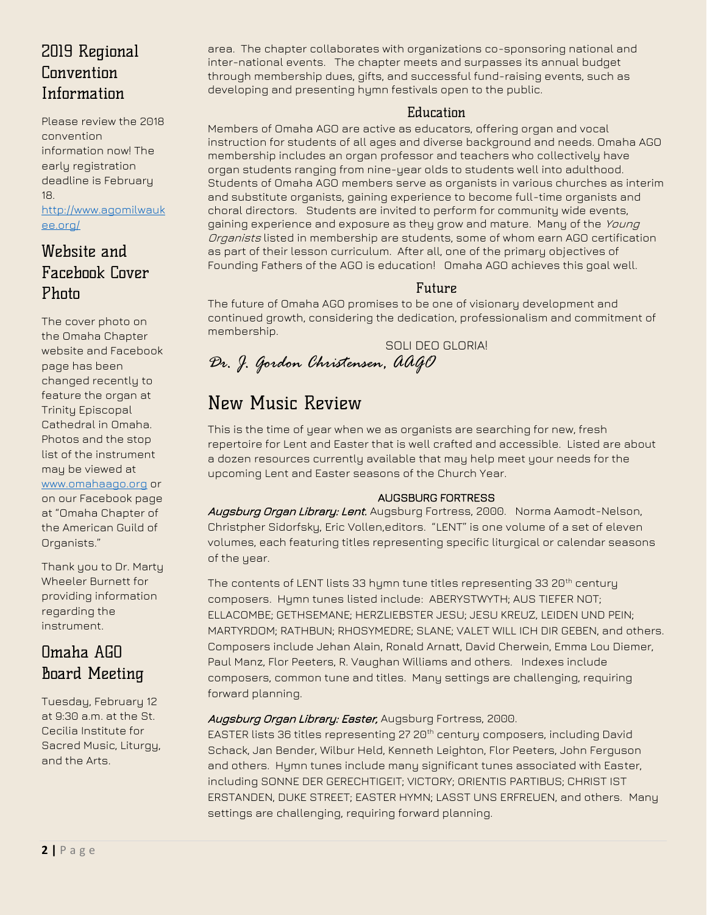## 2019 Regional Convention Information

Please review the 2018 convention information now! The early registration deadline is February 18.

[http://www.agomilwauk](http://www.agomilwaukee.org/) [ee.org/](http://www.agomilwaukee.org/)

## Website and Facebook Cover Photo

The cover photo on the Omaha Chapter website and Facebook page has been changed recently to feature the organ at Trinity Episcopal Cathedral in Omaha. Photos and the stop list of the instrument may be viewed at [www.omahaago.org](http://www.omahaago.org/) or on our Facebook page at "Omaha Chapter of the American Guild of Organists."

Thank you to Dr. Marty Wheeler Burnett for providing information regarding the instrument.

## Omaha AGO Board Meeting

Tuesday, February 12 at 9:30 a.m. at the St. Cecilia Institute for Sacred Music, Liturgy, and the Arts.

area. The chapter collaborates with organizations co-sponsoring national and inter-national events. The chapter meets and surpasses its annual budget through membership dues, gifts, and successful fund-raising events, such as developing and presenting hymn festivals open to the public.

#### Education

Members of Omaha AGO are active as educators, offering organ and vocal instruction for students of all ages and diverse background and needs. Omaha AGO membership includes an organ professor and teachers who collectively have organ students ranging from nine-year olds to students well into adulthood. Students of Omaha AGO members serve as organists in various churches as interim and substitute organists, gaining experience to become full-time organists and choral directors. Students are invited to perform for community wide events, gaining experience and exposure as they grow and mature. Many of the Young Organists listed in membership are students, some of whom earn AGO certification as part of their lesson curriculum. After all, one of the primary objectives of Founding Fathers of the AGO is education! Omaha AGO achieves this goal well.

#### Future

The future of Omaha AGO promises to be one of visionary development and continued growth, considering the dedication, professionalism and commitment of membership.

SOLI DEO GLORIA! *Dr. J. Gordon Christensen, AAGO*

# New Music Review

This is the time of year when we as organists are searching for new, fresh repertoire for Lent and Easter that is well crafted and accessible. Listed are about a dozen resources currently available that may help meet your needs for the upcoming Lent and Easter seasons of the Church Year.

#### AUGSBURG FORTRESS

Augsburg Organ Library: Lent. Augsburg Fortress, 2000. Norma Aamodt-Nelson, Christpher Sidorfsky, Eric Vollen,editors. "LENT" is one volume of a set of eleven volumes, each featuring titles representing specific liturgical or calendar seasons of the year.

The contents of LENT lists 33 hymn tune titles representing 33 20<sup>th</sup> century composers. Hymn tunes listed include: ABERYSTWYTH; AUS TIEFER NOT; ELLACOMBE; GETHSEMANE; HERZLIEBSTER JESU; JESU KREUZ, LEIDEN UND PEIN; MARTYRDOM; RATHBUN; RHOSYMEDRE; SLANE; VALET WILL ICH DIR GEBEN, and others. Composers include Jehan Alain, Ronald Arnatt, David Cherwein, Emma Lou Diemer, Paul Manz, Flor Peeters, R. Vaughan Williams and others. Indexes include composers, common tune and titles. Many settings are challenging, requiring forward planning.

#### Augsburg Organ Library: Easter, Augsburg Fortress, 2000.

EASTER lists 36 titles representing 27 20<sup>th</sup> century composers, including David Schack, Jan Bender, Wilbur Held, Kenneth Leighton, Flor Peeters, John Ferguson and others. Hymn tunes include many significant tunes associated with Easter, including SONNE DER GERECHTIGEIT; VICTORY; ORIENTIS PARTIBUS; CHRIST IST ERSTANDEN, DUKE STREET; EASTER HYMN; LASST UNS ERFREUEN, and others. Many settings are challenging, requiring forward planning.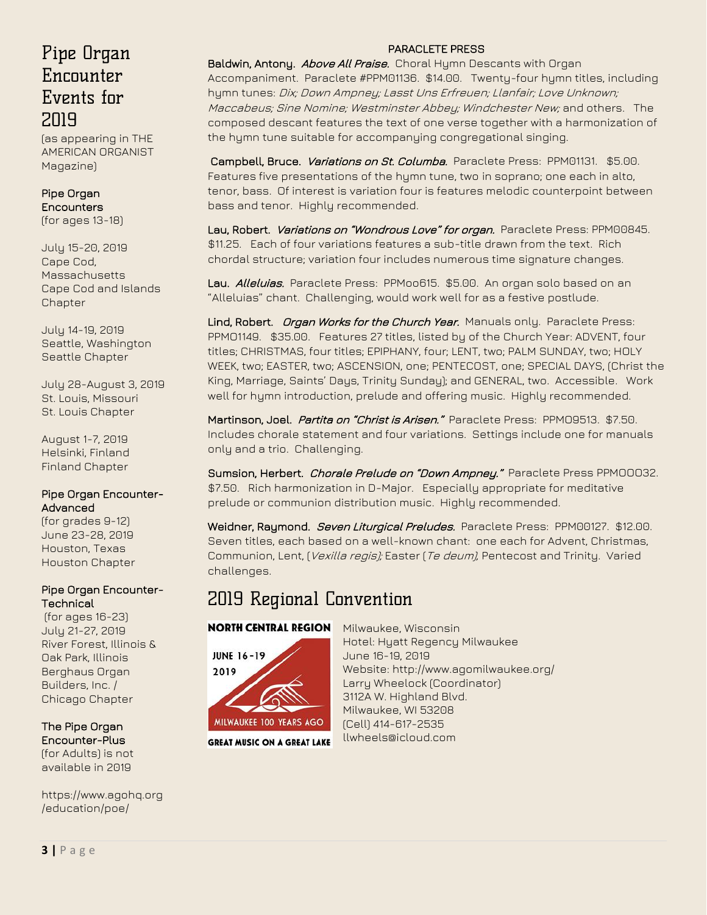## [Pipe Organ](https://www.agohq.org/wp-content/uploads/2018/10/TAO_Dec2018POE_ad.pdf)  **Encounter** [Events for](https://www.agohq.org/wp-content/uploads/2018/10/TAO_Dec2018POE_ad.pdf)  [2019](https://www.agohq.org/wp-content/uploads/2018/10/TAO_Dec2018POE_ad.pdf)

(as appearing in THE AMERICAN ORGANIST Magazine)

#### [Pipe Organ](https://www.agohq.org/education/poe/poe/)  **Encounters** (for ages 13-18)

July 15-20, 2019 Cape Cod, **Massachusetts** [Cape Cod and Islands](http://www.capeandislandsago.org/)  **[Chapter](http://www.capeandislandsago.org/)** 

July 14-19, 2019 Seattle, Washington [Seattle Chapter](http://www.agoseattle.com/)

July 28-August 3, 2019 St. Louis, Missouri [St. Louis Chapter](http://www.agostlouis.org/)

August 1-7, 2019 Helsinki, Finland [Finland Chapter](https://www.agohq.org/chapters/finland/)

#### [Pipe Organ Encounter-](https://www.agohq.org/education/poe/poe-advanced/)[Advanced](https://www.agohq.org/education/poe/poe-advanced/)

(for grades 9-12) June 23-28, 2019 Houston, Texas [Houston Chapter](http://www.ago-houston.org/)

#### [Pipe Organ Encounter-](https://www.agohq.org/education/poe/poe-technical/)**[Technical](https://www.agohq.org/education/poe/poe-technical/)**

(for ages 16-23) July 21-27, 2019 River Forest, Illinois & Oak Park, Illinois [Berghaus Organ](http://www.berghausorgan.com/)  [Builders, Inc.](http://www.berghausorgan.com/) / [Chicago Chapter](http://www.chicagoago.com/)

#### The [Pipe Organ](https://www.agohq.org/education/poe/poe-advanced/)  [Encounter-Plus](https://www.agohq.org/education/poe/poe-advanced/)

(for Adults) is not available in 2019

https://www.agohq.org /education/poe/

#### PARACLETE PRESS

Baldwin, Antony. Above All Praise. Choral Hymn Descants with Organ Accompaniment. Paraclete #PPM01136. \$14.00. Twenty-four hymn titles, including hymn tunes: Dix; Down Ampney; Lasst Uns Erfreuen; Llanfair; Love Unknown; Maccabeus; Sine Nomine; Westminster Abbey; Windchester New; and others. The composed descant features the text of one verse together with a harmonization of the hymn tune suitable for accompanying congregational singing.

Campbell, Bruce. *Variations on St. Columba.* Paraclete Press: PPM01131. \$5.00. Features five presentations of the hymn tune, two in soprano; one each in alto, tenor, bass. Of interest is variation four is features melodic counterpoint between bass and tenor. Highly recommended.

Lau, Robert. Variations on "Wondrous Love" for organ. Paraclete Press: PPM00845. \$11.25. Each of four variations features a sub-title drawn from the text. Rich chordal structure; variation four includes numerous time signature changes.

Lau. Alleluias. Paraclete Press: PPMoo615. \$5.00. An organ solo based on an "Alleluias" chant. Challenging, would work well for as a festive postlude.

Lind, Robert. Organ Works for the Church Year. Manuals only. Paraclete Press: PPMO1149. \$35.00. Features 27 titles, listed by of the Church Year: ADVENT, four titles; CHRISTMAS, four titles; EPIPHANY, four; LENT, two; PALM SUNDAY, two; HOLY WEEK, two; EASTER, two; ASCENSION, one; PENTECOST, one; SPECIAL DAYS, (Christ the King, Marriage, Saints' Days, Trinity Sunday); and GENERAL, two. Accessible. Work well for hymn introduction, prelude and offering music. Highly recommended.

Martinson, Joel. Partita on "Christ is Arisen." Paraclete Press: PPMO9513. \$7.50. Includes chorale statement and four variations. Settings include one for manuals only and a trio. Challenging.

Sumsion, Herbert. Chorale Prelude on "Down Ampney." Paraclete Press PPMOOO32. \$7.50. Rich harmonization in D-Major. Especially appropriate for meditative prelude or communion distribution music. Highly recommended.

Weidner, Raymond. Seven Liturgical Preludes. Paraclete Press: PPM00127. \$12.00. Seven titles, each based on a well-known chant: one each for Advent, Christmas, Communion, Lent, (*Vexilla regis);* Easter (*Te deum)*, Pentecost and Trinity. Varied challenges.

# 2019 Regional Convention

#### **NORTH CENTRAL REGION**



**GREAT MUSIC ON A GREAT LAKE** 

Milwaukee, Wisconsin Hotel: Hyatt Regency Milwaukee June 16-19, 2019 Website: http://www.agomilwaukee.org/ Larry Wheelock (Coordinator) 3112A W. Highland Blvd. Milwaukee, WI 53208 (Cell) 414-617-2535 llwheels@icloud.com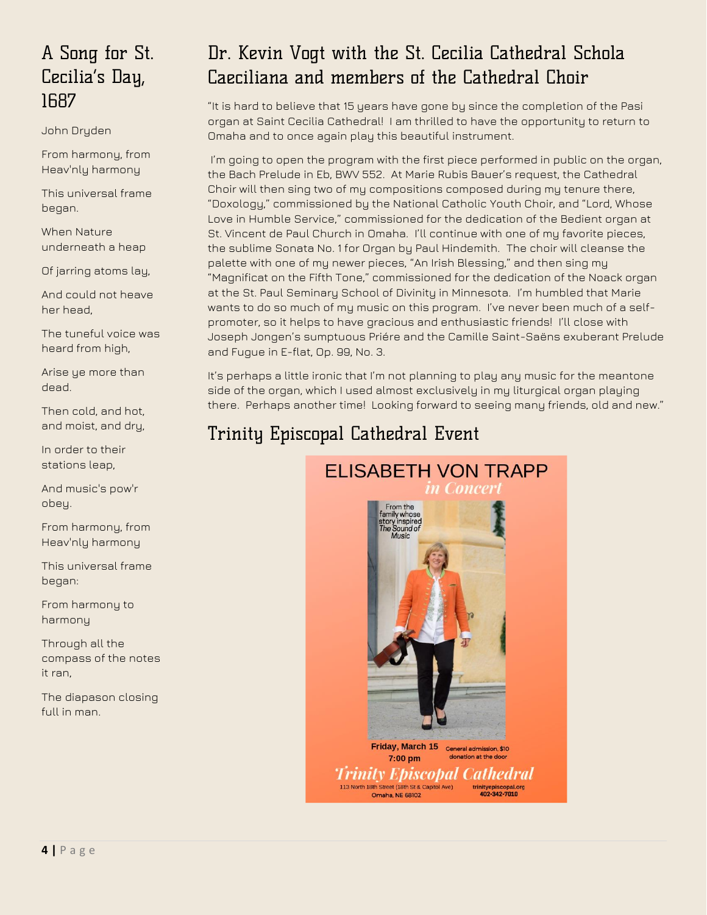# A Song for St. Cecilia's Day, 1687

John Dryden

From harmony, from Heav'nly harmony

This universal frame began.

When Nature underneath a heap

Of jarring atoms lay,

And could not heave her head,

The tuneful voice was heard from high,

Arise ye more than dead.

Then cold, and hot, and moist, and dry,

In order to their stations leap,

And music's pow'r obey.

From harmony, from Heav'nly harmony

This universal frame began:

From harmony to harmony

Through all the compass of the notes it ran,

The diapason closing full in man.

# Dr. Kevin Vogt with the St. Cecilia Cathedral Schola Caeciliana and members of the Cathedral Choir

"It is hard to believe that 15 years have gone by since the completion of the Pasi organ at Saint Cecilia Cathedral! I am thrilled to have the opportunity to return to Omaha and to once again play this beautiful instrument.

I'm going to open the program with the first piece performed in public on the organ, the Bach Prelude in Eb, BWV 552. At Marie Rubis Bauer's request, the Cathedral Choir will then sing two of my compositions composed during my tenure there, "Doxology," commissioned by the National Catholic Youth Choir, and "Lord, Whose Love in Humble Service," commissioned for the dedication of the Bedient organ at St. Vincent de Paul Church in Omaha. I'll continue with one of my favorite pieces, the sublime Sonata No. 1 for Organ by Paul Hindemith. The choir will cleanse the palette with one of my newer pieces, "An Irish Blessing," and then sing my "Magnificat on the Fifth Tone," commissioned for the dedication of the Noack organ at the St. Paul Seminary School of Divinity in Minnesota. I'm humbled that Marie wants to do so much of my music on this program. I've never been much of a selfpromoter, so it helps to have gracious and enthusiastic friends! I'll close with Joseph Jongen's sumptuous Priére and the Camille Saint-Saëns exuberant Prelude and Fugue in E-flat, Op. 99, No. 3.

It's perhaps a little ironic that I'm not planning to play any music for the meantone side of the organ, which I used almost exclusively in my liturgical organ playing there. Perhaps another time! Looking forward to seeing many friends, old and new."

# Trinity Episcopal Cathedral Event

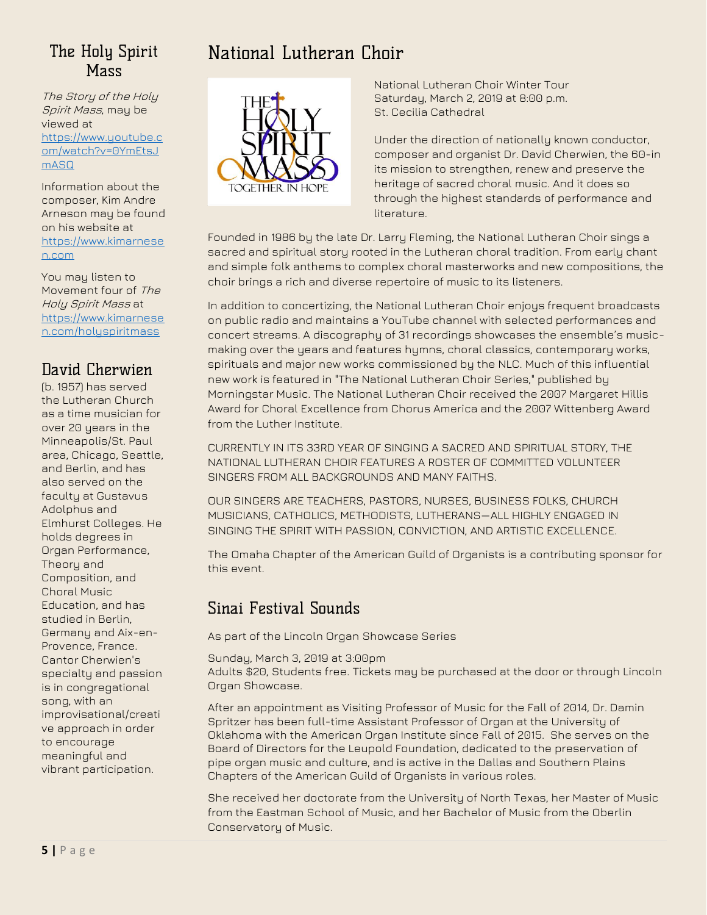## The Holy Spirit **Mass**

The Story of the Holy Spirit Mass, may be viewed at [https://www.youtube.c](https://www.youtube.com/watch?v=0YmEtsJmASQ) [om/watch?v=0YmEtsJ](https://www.youtube.com/watch?v=0YmEtsJmASQ) [mASQ](https://www.youtube.com/watch?v=0YmEtsJmASQ)

Information about the composer, Kim Andre Arneson may be found on his website at [https://www.kimarnese](https://www.kimarnesen.com/) [n.com](https://www.kimarnesen.com/)

You may listen to Movement four of The Holy Spirit Mass at [https://www.kimarnese](https://www.kimarnesen.com/holyspiritmass) [n.com/holyspiritmass](https://www.kimarnesen.com/holyspiritmass)

## David Cherwien

(b. 1957) has served the Lutheran Church as a time musician for over 20 years in the Minneapolis/St. Paul area, Chicago, Seattle, and Berlin, and has also served on the faculty at Gustavus Adolphus and Elmhurst Colleges. He holds degrees in Organ Performance, Theory and Composition, and Choral Music Education, and has studied in Berlin, Germany and Aix-en-Provence, France. Cantor Cherwien's specialty and passion is in congregational song, with an improvisational/creati ve approach in order to encourage meaningful and vibrant participation.

# National Lutheran Choir



National Lutheran Choir Winter Tour Saturday, March 2, 2019 at 8:00 p.m. St. Cecilia Cathedral

Under the direction of nationally known conductor, composer and organist Dr. David Cherwien, the 60-in its mission to strengthen, renew and preserve the heritage of sacred choral music. And it does so through the highest standards of performance and literature.

Founded in 1986 by the late Dr. Larry Fleming, the National Lutheran Choir sings a sacred and spiritual story rooted in the Lutheran choral tradition. From early chant and simple folk anthems to complex choral masterworks and new compositions, the choir brings a rich and diverse repertoire of music to its listeners.

In addition to concertizing, the National Lutheran Choir enjoys frequent broadcasts on public radio and maintains a YouTube channel with selected performances and concert streams. A discography of 31 recordings showcases the ensemble's musicmaking over the years and features hymns, choral classics, contemporary works, spirituals and major new works commissioned by the NLC. Much of this influential new work is featured in "The National Lutheran Choir Series," published by Morningstar Music. The National Lutheran Choir received the 2007 Margaret Hillis Award for Choral Excellence from Chorus America and the 2007 Wittenberg Award from the Luther Institute.

CURRENTLY IN ITS 33RD YEAR OF SINGING A SACRED AND SPIRITUAL STORY, THE NATIONAL LUTHERAN CHOIR FEATURES A ROSTER OF COMMITTED VOLUNTEER SINGERS FROM ALL BACKGROUNDS AND MANY FAITHS.

OUR SINGERS ARE TEACHERS, PASTORS, NURSES, BUSINESS FOLKS, CHURCH MUSICIANS, CATHOLICS, METHODISTS, LUTHERANS—ALL HIGHLY ENGAGED IN SINGING THE SPIRIT WITH PASSION, CONVICTION, AND ARTISTIC EXCELLENCE.

The Omaha Chapter of the American Guild of Organists is a contributing sponsor for this event.

## Sinai Festival Sounds

As part of the Lincoln Organ Showcase Series

Sunday, March 3, 2019 at 3:00pm

Adults \$20, Students free. Tickets may be purchased at the door or through Lincoln Organ Showcase.

After an appointment as Visiting Professor of Music for the Fall of 2014, Dr. Damin Spritzer has been full-time Assistant Professor of Organ at the University of Oklahoma with the American Organ Institute since Fall of 2015. She serves on the Board of Directors for the Leupold Foundation, dedicated to the preservation of pipe organ music and culture, and is active in the Dallas and Southern Plains Chapters of the American Guild of Organists in various roles.

She received her doctorate from the University of North Texas, her Master of Music from the Eastman School of Music, and her Bachelor of Music from the Oberlin Conservatory of Music.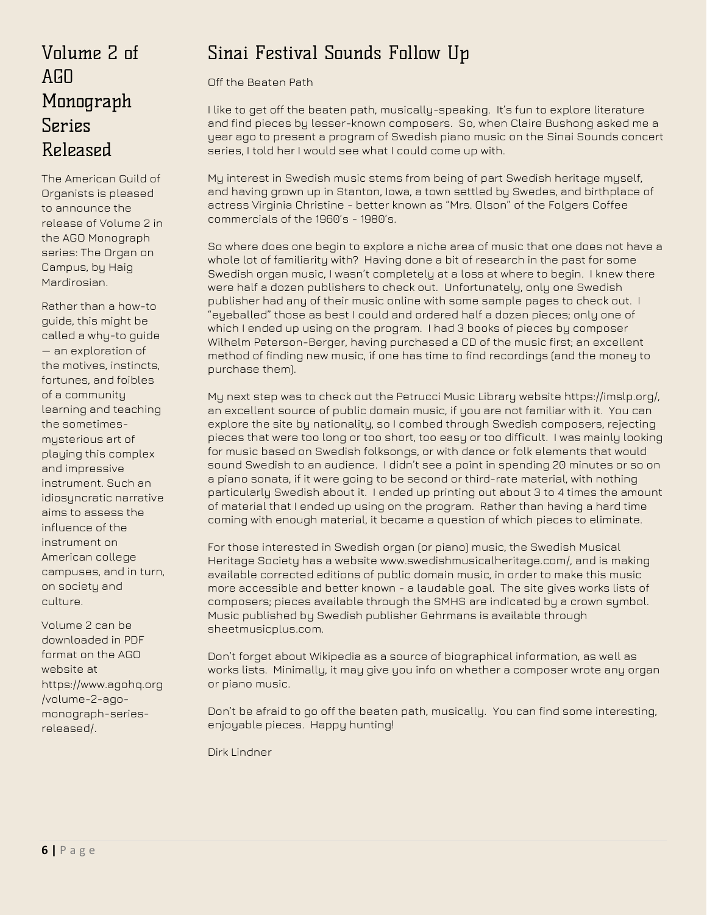# Volume 2 of  $A<sub>fin</sub>$ Monograph Series Released

The American Guild of Organists is pleased to announce the release of Volume 2 in the AGO Monograph series: The Organ on Campus, by Haig Mardirosian.

Rather than a how-to guide, this might be called a why-to guide — an exploration of the motives, instincts, fortunes, and foibles of a community learning and teaching the sometimesmysterious art of playing this complex and impressive instrument. Such an idiosuncratic narrative aims to assess the influence of the instrument on American college campuses, and in turn, on society and culture.

Volume 2 can be downloaded in PDF format on the AGO website at https://www.agohq.org /volume-2-agomonograph-seriesreleased/.

# Sinai Festival Sounds Follow Up

Off the Beaten Path

I like to get off the beaten path, musically-speaking. It's fun to explore literature and find pieces by lesser-known composers. So, when Claire Bushong asked me a year ago to present a program of Swedish piano music on the Sinai Sounds concert series, I told her I would see what I could come up with.

My interest in Swedish music stems from being of part Swedish heritage myself, and having grown up in Stanton, Iowa, a town settled by Swedes, and birthplace of actress Virginia Christine - better known as "Mrs. Olson" of the Folgers Coffee commercials of the 1960's - 1980's.

So where does one begin to explore a niche area of music that one does not have a whole lot of familiarity with? Having done a bit of research in the past for some Swedish organ music, I wasn't completely at a loss at where to begin. I knew there were half a dozen publishers to check out. Unfortunately, only one Swedish publisher had any of their music online with some sample pages to check out. I "eyeballed" those as best I could and ordered half a dozen pieces; only one of which I ended up using on the program. I had 3 books of pieces by composer Wilhelm Peterson-Berger, having purchased a CD of the music first; an excellent method of finding new music, if one has time to find recordings (and the money to purchase them).

My next step was to check out the Petrucci Music Library website https://imslp.org/, an excellent source of public domain music, if you are not familiar with it. You can explore the site by nationality, so I combed through Swedish composers, rejecting pieces that were too long or too short, too easy or too difficult. I was mainly looking for music based on Swedish folksongs, or with dance or folk elements that would sound Swedish to an audience. I didn't see a point in spending 20 minutes or so on a piano sonata, if it were going to be second or third-rate material, with nothing particularly Swedish about it. I ended up printing out about 3 to 4 times the amount of material that I ended up using on the program. Rather than having a hard time coming with enough material, it became a question of which pieces to eliminate.

For those interested in Swedish organ (or piano) music, the Swedish Musical Heritage Society has a website www.swedishmusicalheritage.com/, and is making available corrected editions of public domain music, in order to make this music more accessible and better known - a laudable goal. The site gives works lists of composers; pieces available through the SMHS are indicated by a crown symbol. Music published by Swedish publisher Gehrmans is available through sheetmusicplus.com.

Don't forget about Wikipedia as a source of biographical information, as well as works lists. Minimally, it may give you info on whether a composer wrote any organ or piano music.

Don't be afraid to go off the beaten path, musically. You can find some interesting, enjoyable pieces. Happy hunting!

Dirk Lindner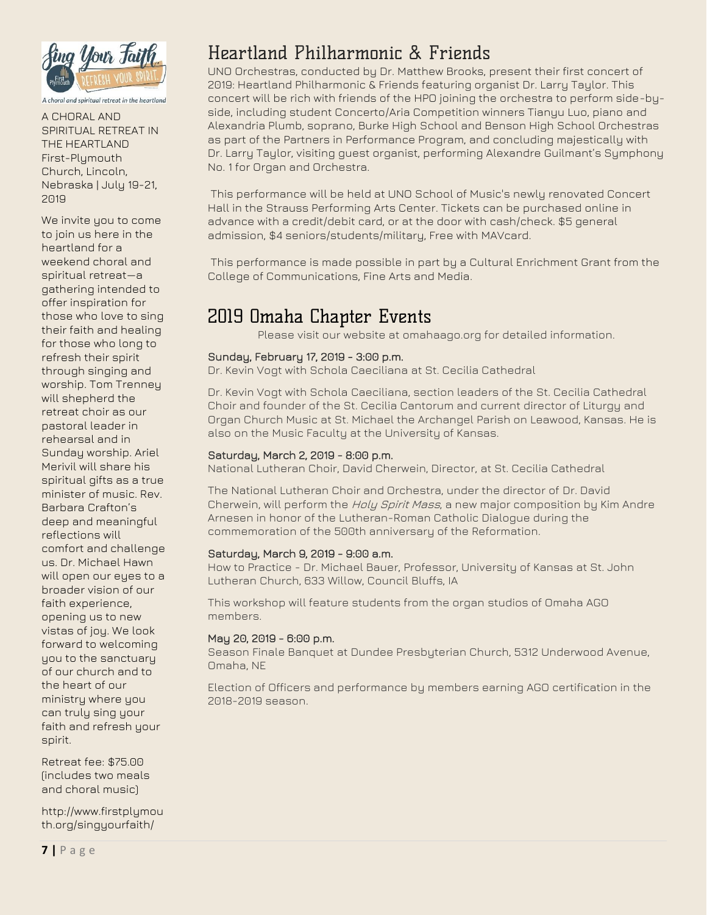

A choral and spiritual retreat in the heartland

A CHORAL AND SPIRITUAL RETREAT IN THE HEARTLAND First-Plymouth Church, Lincoln, Nebraska | July 19-21, 2019

We invite you to come to join us here in the heartland for a weekend choral and spiritual retreat—a gathering intended to offer inspiration for those who love to sing their faith and healing for those who long to refresh their spirit through singing and worship. Tom Trenney will shepherd the retreat choir as our pastoral leader in rehearsal and in Sunday worship. Ariel Merivil will share his spiritual gifts as a true minister of music. Rev. Barbara Crafton's deep and meaningful reflections will comfort and challenge us. Dr. Michael Hawn will open our eyes to a broader vision of our faith experience, opening us to new vistas of joy. We look forward to welcoming you to the sanctuary of our church and to the heart of our ministry where you can truly sing your faith and refresh your spirit.

Retreat fee: \$75.00 (includes two meals and choral music)

http://www.firstplymou th.org/singyourfaith/

# Heartland Philharmonic & Friends

UNO Orchestras, conducted by Dr. Matthew Brooks, present their first concert of 2019: Heartland Philharmonic & Friends featuring organist Dr. Larry Taylor. This concert will be rich with friends of the HPO joining the orchestra to perform side-byside, including student Concerto/Aria Competition winners Tianyu Luo, piano and Alexandria Plumb, soprano, Burke High School and Benson High School Orchestras as part of the Partners in Performance Program, and concluding majestically with Dr. Larry Taylor, visiting guest organist, performing Alexandre Guilmant's Symphony No. 1 for Organ and Orchestra.

This performance will be held at UNO School of Music's newly renovated Concert Hall in the Strauss Performing Arts Center. Tickets can be purchased online in advance with a credit/debit card, or at the door with cash/check. \$5 general admission, \$4 seniors/students/military, Free with MAVcard.

This performance is made possible in part by a Cultural Enrichment Grant from the College of Communications, Fine Arts and Media.

## 2019 Omaha Chapter Events

Please visit our website at omahaago.org for detailed information.

#### Sunday, February 17, 2019 - 3:00 p.m.

Dr. Kevin Vogt with Schola Caeciliana at St. Cecilia Cathedral

Dr. Kevin Vogt with Schola Caeciliana, section leaders of the St. Cecilia Cathedral Choir and founder of the St. Cecilia Cantorum and current director of Liturgy and Organ Church Music at St. Michael the Archangel Parish on Leawood, Kansas. He is also on the Music Faculty at the University of Kansas.

#### Saturday, March 2, 2019 - 8:00 p.m.

National Lutheran Choir, David Cherwein, Director, at St. Cecilia Cathedral

The National Lutheran Choir and Orchestra, under the director of Dr. David Cherwein, will perform the Holy Spirit Mass, a new major composition by Kim Andre Arnesen in honor of the Lutheran-Roman Catholic Dialogue during the commemoration of the 500th anniversary of the Reformation.

#### Saturday, March 9, 2019 - 9:00 a.m.

How to Practice - Dr. Michael Bauer, Professor, University of Kansas at St. John Lutheran Church, 633 Willow, Council Bluffs, IA

This workshop will feature students from the organ studios of Omaha AGO members.

#### May 20, 2019 - 6:00 p.m.

Season Finale Banquet at Dundee Presbyterian Church, 5312 Underwood Avenue, Omaha, NE

Election of Officers and performance by members earning AGO certification in the 2018-2019 season.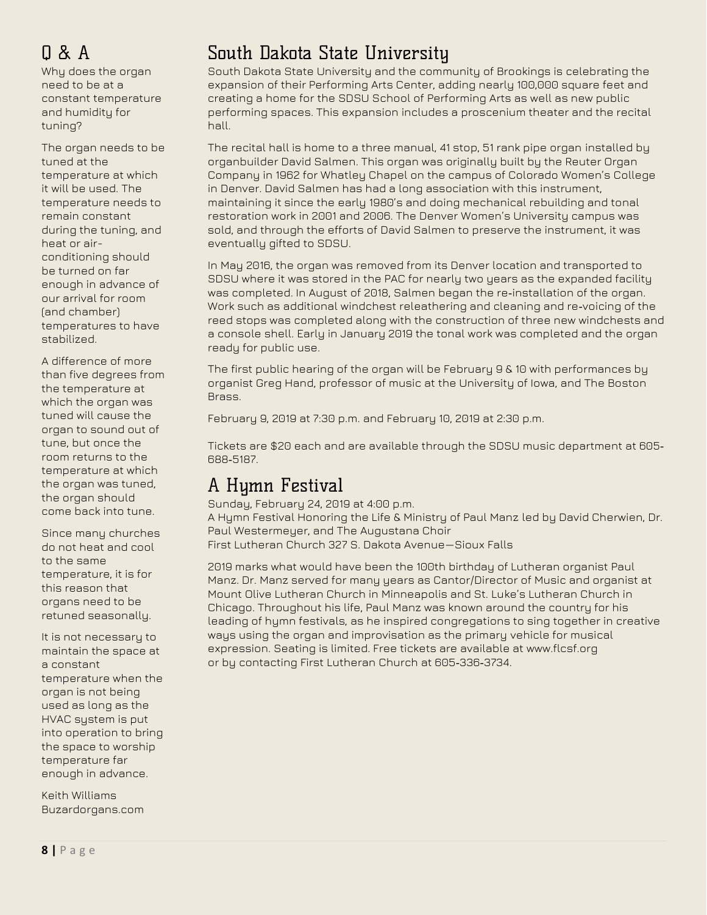# Q & A

Why does the organ need to be at a constant temperature and humidity for tuning?

The organ needs to be tuned at the temperature at which it will be used. The temperature needs to remain constant during the tuning, and heat or airconditioning should be turned on far enough in advance of our arrival for room (and chamber) temperatures to have stabilized.

A difference of more than five degrees from the temperature at which the organ was tuned will cause the organ to sound out of tune, but once the room returns to the temperature at which the organ was tuned, the organ should come back into tune.

Since many churches do not heat and cool to the same temperature, it is for this reason that organs need to be retuned seasonally.

It is not necessary to maintain the space at a constant temperature when the organ is not being used as long as the HVAC system is put into operation to bring the space to worship temperature far enough in advance.

Keith Williams Buzardorgans.com

# South Dakota State University

South Dakota State University and the community of Brookings is celebrating the expansion of their Performing Arts Center, adding nearly 100,000 square feet and creating a home for the SDSU School of Performing Arts as well as new public performing spaces. This expansion includes a proscenium theater and the recital hall.

The recital hall is home to a three manual, 41 stop, 51 rank pipe organ installed by organbuilder David Salmen. This organ was originally built by the Reuter Organ Company in 1962 for Whatley Chapel on the campus of Colorado Women's College in Denver. David Salmen has had a long association with this instrument, maintaining it since the early 1980's and doing mechanical rebuilding and tonal restoration work in 2001 and 2006. The Denver Women's University campus was sold, and through the efforts of David Salmen to preserve the instrument, it was eventually gifted to SDSU.

In May 2016, the organ was removed from its Denver location and transported to SDSU where it was stored in the PAC for nearly two years as the expanded facility was completed. In August of 2018, Salmen began the re-installation of the organ. Work such as additional windchest releathering and cleaning and re‐voicing of the reed stops was completed along with the construction of three new windchests and a console shell. Early in January 2019 the tonal work was completed and the organ ready for public use.

The first public hearing of the organ will be February 9 & 10 with performances by organist Greg Hand, professor of music at the University of Iowa, and The Boston Brass.

February 9, 2019 at 7:30 p.m. and February 10, 2019 at 2:30 p.m.

Tickets are \$20 each and are available through the SDSU music department at 605‐ 688‐5187.

# A Hymn Festival

Sunday, February 24, 2019 at 4:00 p.m. A Hymn Festival Honoring the Life & Ministry of Paul Manz led by David Cherwien, Dr. Paul Westermeyer, and The Augustana Choir First Lutheran Church 327 S. Dakota Avenue—Sioux Falls

2019 marks what would have been the 100th birthday of Lutheran organist Paul

Manz. Dr. Manz served for many years as Cantor/Director of Music and organist at Mount Olive Lutheran Church in Minneapolis and St. Luke's Lutheran Church in Chicago. Throughout his life, Paul Manz was known around the country for his leading of hymn festivals, as he inspired congregations to sing together in creative ways using the organ and improvisation as the primary vehicle for musical expression. Seating is limited. Free tickets are available at www.flcsf.org or by contacting First Lutheran Church at 605‐336‐3734.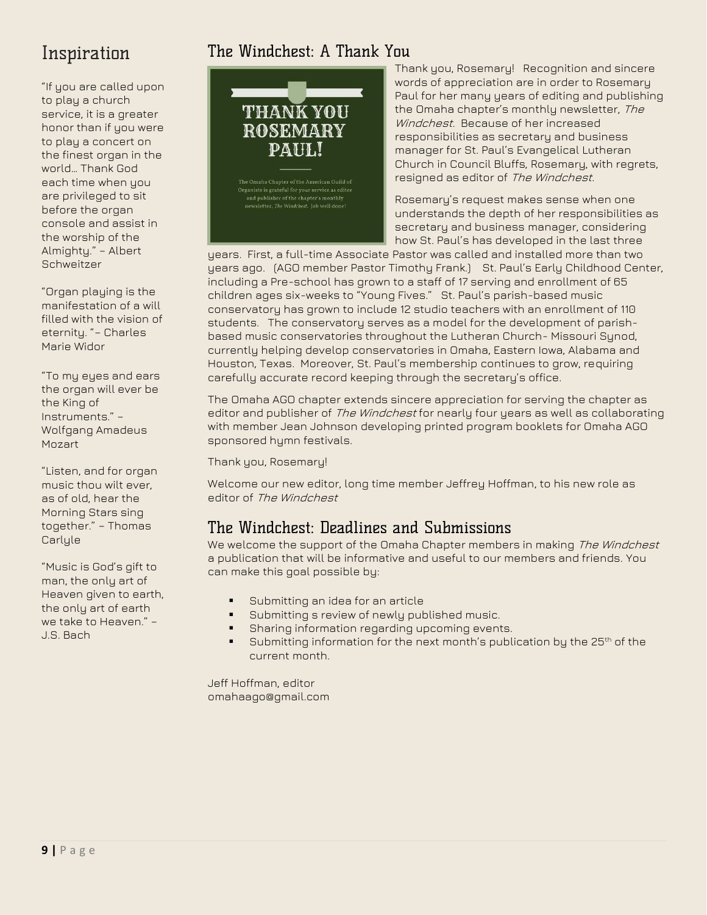# Inspiration

"If you are called upon to play a church service, it is a greater honor than if you were to play a concert on the finest organ in the world… Thank God each time when you are privileged to sit before the organ console and assist in the worship of the Almighty." – Albert **Schweitzer** 

"Organ playing is the manifestation of a will filled with the vision of eternity. "– Charles Marie Widor

"To my eyes and ears the organ will ever be the King of Instruments." – Wolfgang Amadeus Mozart

"Listen, and for organ music thou wilt ever, as of old, hear the Morning Stars sing together." – Thomas **Carlyle** 

"Music is God's gift to man, the only art of Heaven given to earth, the only art of earth we take to Heaven." – J.S. Bach

## The Windchest: A Thank You



Thank you, Rosemary! Recognition and sincere words of appreciation are in order to Rosemary Paul for her many years of editing and publishing the Omaha chapter's monthly newsletter, *The* Windchest. Because of her increased responsibilities as secretary and business manager for St. Paul's Evangelical Lutheran Church in Council Bluffs, Rosemary, with regrets, resigned as editor of The Windchest.

Rosemary's request makes sense when one understands the depth of her responsibilities as secretary and business manager, considering how St. Paul's has developed in the last three

years. First, a full-time Associate Pastor was called and installed more than two years ago. (AGO member Pastor Timothy Frank.) St. Paul's Early Childhood Center, including a Pre-school has grown to a staff of 17 serving and enrollment of 65 children ages six-weeks to "Young Fives." St. Paul's parish-based music conservatory has grown to include 12 studio teachers with an enrollment of 110 students. The conservatory serves as a model for the development of parishbased music conservatories throughout the Lutheran Church- Missouri Synod, currently helping develop conservatories in Omaha, Eastern Iowa, Alabama and Houston, Texas. Moreover, St. Paul's membership continues to grow, requiring carefully accurate record keeping through the secretary's office.

The Omaha AGO chapter extends sincere appreciation for serving the chapter as editor and publisher of *The Windchest* for nearly four years as well as collaborating with member Jean Johnson developing printed program booklets for Omaha AGO sponsored hymn festivals.

Thank you, Rosemary!

Welcome our new editor, long time member Jeffrey Hoffman, to his new role as editor of The Windchest

## The Windchest: Deadlines and Submissions

We welcome the support of the Omaha Chapter members in making The Windchest a publication that will be informative and useful to our members and friends. You can make this goal possible by:

- Submitting an idea for an article
- Submitting s review of newly published music.
- Sharing information regarding upcoming events.
- Submitting information for the next month's publication by the 25<sup>th</sup> of the current month.

Jeff Hoffman, editor omahaago@gmail.com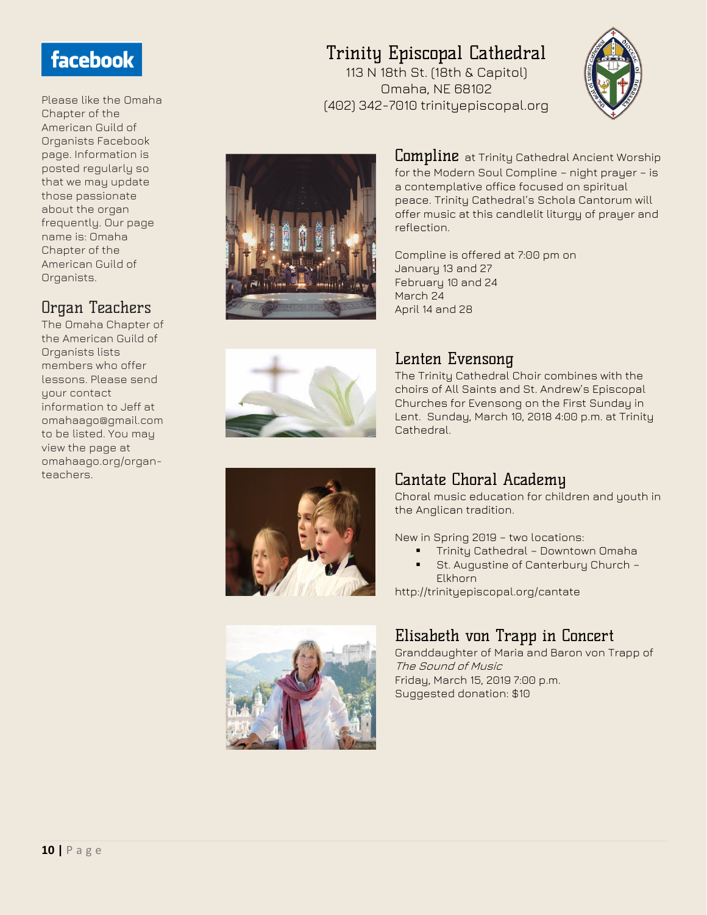# facebook

Please like the Omaha Chapter of the American Guild of Organists Facebook page. Information is posted regularly so that we may update those passionate about the organ frequently. Our page name is: Omaha Chapter of the American Guild of Organists.

## Organ Teachers

The Omaha Chapter of the American Guild of Organists lists members who offer lessons. Please send your contact information to Jeff at omahaago@gmail.com to be listed. You may view the page at omahaago.org/organteachers.

# Trinity Episcopal Cathedral

113 N 18th St. (18th & Capitol) Omaha, NE 68102 (402) 342-7010 trinityepiscopal.org





 $\mathrel{\sf{Commline}}$  at Trinity Cathedral Ancient Worship for the Modern Soul Compline – night prayer – is a contemplative office focused on spiritual peace. Trinity Cathedral's Schola Cantorum will offer music at this candlelit liturgy of prayer and reflection.

Compline is offered at 7:00 pm on January 13 and 27 February 10 and 24 March 24 April 14 and 28



## Lenten Evensong

The Trinity Cathedral Choir combines with the choirs of All Saints and St. Andrew's Episcopal Churches for Evensong on the First Sunday in Lent. Sunday, March 10, 2018 4:00 p.m. at Trinity Cathedral.





## Cantate Choral Academy

Choral music education for children and youth in the Anglican tradition.

New in Spring 2019 – two locations:

- **•** Trinity Cathedral Downtown Omaha ■ St. Augustine of Canterbury Church -
- Elkhorn

http://trinityepiscopal.org/cantate

## Elisabeth von Trapp in Concert

Granddaughter of Maria and Baron von Trapp of The Sound of Music Friday, March 15, 2019 7:00 p.m. Suggested donation: \$10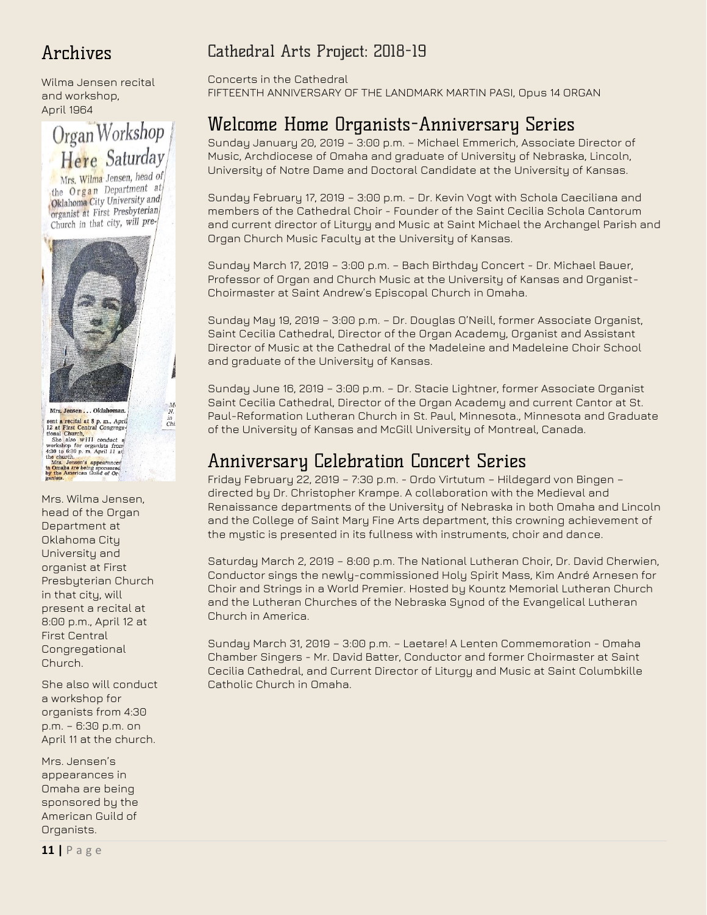# Archives

Wilma Jensen recital and workshop, April 1964



Mrs. Wilma Jensen, head of the Organ Department at Oklahoma City University and organist at First Presbyterian Church in that city, will pre-



 $\begin{array}{c} M \! \! \cdot \! \\ N \! \! \cdot \! \\ \text{in} \\ Chi \end{array}$ 

ants **are the relation** and **a** particular the particular and church and church with the space of the space of the space of the church. Apple also with the church in the church in the church in the church in the church in

Mrs. Wilma Jensen, head of the Organ Department at Oklahoma City University and organist at First Presbyterian Church in that city, will present a recital at 8:00 p.m., April 12 at First Central Congregational Church.

She also will conduct a workshop for organists from 4:30 p.m. – 6:30 p.m. on April 11 at the church.

Mrs. Jensen's appearances in Omaha are being sponsored by the American Guild of Organists.

## Cathedral Arts Project: 2018-19

Concerts in the Cathedral FIFTEENTH ANNIVERSARY OF THE LANDMARK MARTIN PASI, Opus 14 ORGAN

# Welcome Home Organists-Anniversary Series

Sunday January 20, 2019 – 3:00 p.m. – Michael Emmerich, Associate Director of Music, Archdiocese of Omaha and graduate of University of Nebraska, Lincoln, University of Notre Dame and Doctoral Candidate at the University of Kansas.

Sunday February 17, 2019 – 3:00 p.m. – Dr. Kevin Vogt with Schola Caeciliana and members of the Cathedral Choir - Founder of the Saint Cecilia Schola Cantorum and current director of Liturgy and Music at Saint Michael the Archangel Parish and Organ Church Music Faculty at the University of Kansas.

Sunday March 17, 2019 – 3:00 p.m. – Bach Birthday Concert - Dr. Michael Bauer, Professor of Organ and Church Music at the University of Kansas and Organist-Choirmaster at Saint Andrew's Episcopal Church in Omaha.

Sunday May 19, 2019 – 3:00 p.m. – Dr. Douglas O'Neill, former Associate Organist, Saint Cecilia Cathedral, Director of the Organ Academy, Organist and Assistant Director of Music at the Cathedral of the Madeleine and Madeleine Choir School and graduate of the University of Kansas.

Sunday June 16, 2019 – 3:00 p.m. – Dr. Stacie Lightner, former Associate Organist Saint Cecilia Cathedral, Director of the Organ Academy and current Cantor at St. Paul-Reformation Lutheran Church in St. Paul, Minnesota., Minnesota and Graduate of the University of Kansas and McGill University of Montreal, Canada.

## Anniversary Celebration Concert Series

Friday February 22, 2019 – 7:30 p.m. - Ordo Virtutum – Hildegard von Bingen – directed by Dr. Christopher Krampe. A collaboration with the Medieval and Renaissance departments of the University of Nebraska in both Omaha and Lincoln and the College of Saint Mary Fine Arts department, this crowning achievement of the mystic is presented in its fullness with instruments, choir and dance.

Saturday March 2, 2019 – 8:00 p.m. The National Lutheran Choir, Dr. David Cherwien, Conductor sings the newly-commissioned Holy Spirit Mass, Kim André Arnesen for Choir and Strings in a World Premier. Hosted by Kountz Memorial Lutheran Church and the Lutheran Churches of the Nebraska Synod of the Evangelical Lutheran Church in America.

Sunday March 31, 2019 – 3:00 p.m. – Laetare! A Lenten Commemoration - Omaha Chamber Singers - Mr. David Batter, Conductor and former Choirmaster at Saint Cecilia Cathedral, and Current Director of Liturgy and Music at Saint Columbkille Catholic Church in Omaha.